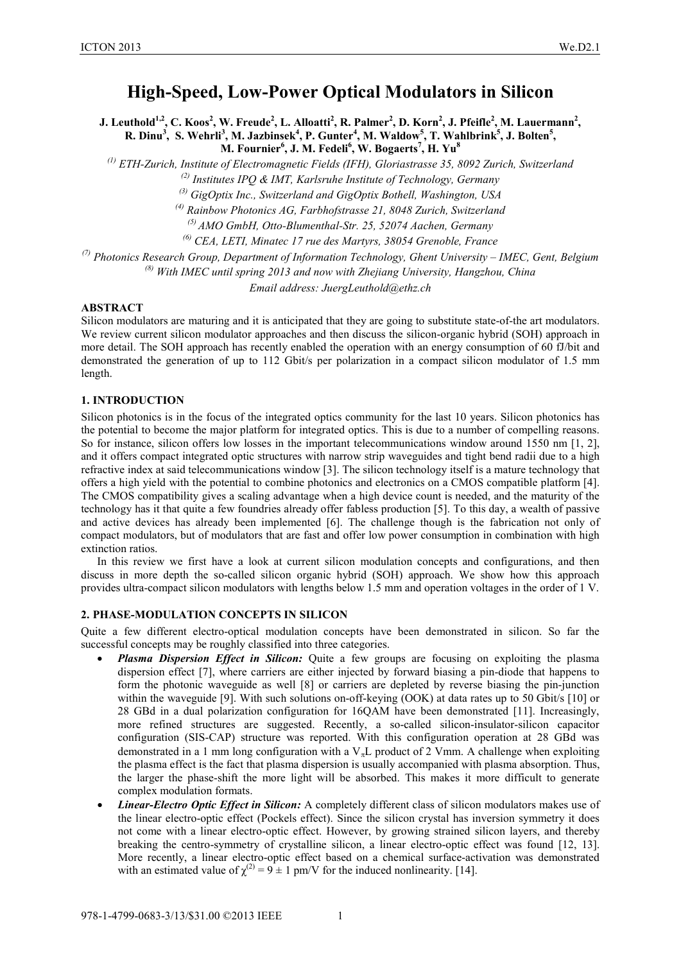## **High-Speed, Low-Power Optical Modulators in Silicon**

 $\,$ J. Leuthold $^{1,2}$ , C. Koos $^2$ , W. Freude $^2$ , L. Alloatti $^2$ , R. Palmer $^2$ , D. Korn $^2$ , J. Pfeifle $^2$ , M. Lauermann $^2$ ,

 $R$ . Dinu<sup>3</sup>, S. Wehrli<sup>3</sup>, M. Jazbinsek<sup>4</sup>, P. Gunter<sup>4</sup>, M. Waldow<sup>5</sup>, T. Wahlbrink<sup>5</sup>, J. Bolten<sup>5</sup>,

 $\mathbf{M}$ . Fournier $^6$ , J. M. Fedeli $^6$ , W. Bogaerts $^7$ , H. Yu $^8$ 

*(1) ETH-Zurich, Institute of Electromagnetic Fields (IFH), Gloriastrasse 35, 8092 Zurich, Switzerland*

*(2) Institutes IPQ & IMT, Karlsruhe Institute of Technology, Germany*

*(3) GigOptix Inc., Switzerland and GigOptix Bothell, Washington, USA*

*(4) Rainbow Photonics AG, Farbhofstrasse 21, 8048 Zurich, Switzerland*

*(5) AMO GmbH, Otto-Blumenthal-Str. 25, 52074 Aachen, Germany*

*(6) CEA, LETI, Minatec 17 rue des Martyrs, 38054 Grenoble, France*

*(7) Photonics Research Group, Department of Information Technology, Ghent University – IMEC, Gent, Belgium*

*(8) With IMEC until spring 2013 and now with Zhejiang University, Hangzhou, China*

*Email address: JuergLeuthold@ethz.ch*

### **ABSTRACT**

Silicon modulators are maturing and it is anticipated that they are going to substitute state-of-the art modulators. We review current silicon modulator approaches and then discuss the silicon-organic hybrid (SOH) approach in more detail. The SOH approach has recently enabled the operation with an energy consumption of 60 fJ/bit and demonstrated the generation of up to 112 Gbit/s per polarization in a compact silicon modulator of 1.5 mm length.

### **1. INTRODUCTION**

Silicon photonics is in the focus of the integrated optics community for the last 10 years. Silicon photonics has the potential to become the major platform for integrated optics. This is due to a number of compelling reasons. So for instance, silicon offers low losses in the important telecommunications window around 1550 nm [1, 2], and it offers compact integrated optic structures with narrow strip waveguides and tight bend radii due to a high refractive index at said telecommunications window [3]. The silicon technology itself is a mature technology that offers a high yield with the potential to combine photonics and electronics on a CMOS compatible platform [4]. The CMOS compatibility gives a scaling advantage when a high device count is needed, and the maturity of the technology has it that quite a few foundries already offer fabless production [5]. To this day, a wealth of passive and active devices has already been implemented [6]. The challenge though is the fabrication not only of compact modulators, but of modulators that are fast and offer low power consumption in combination with high extinction ratios.

In this review we first have a look at current silicon modulation concepts and configurations, and then discuss in more depth the so-called silicon organic hybrid (SOH) approach. We show how this approach provides ultra-compact silicon modulators with lengths below 1.5 mm and operation voltages in the order of 1 V.

#### **2. PHASE-MODULATION CONCEPTS IN SILICON**

Quite a few different electro-optical modulation concepts have been demonstrated in silicon. So far the successful concepts may be roughly classified into three categories.

- *Plasma Dispersion Effect in Silicon:* Quite a few groups are focusing on exploiting the plasma dispersion effect [7], where carriers are either injected by forward biasing a pin-diode that happens to form the photonic waveguide as well [8] or carriers are depleted by reverse biasing the pin-junction within the waveguide [9]. With such solutions on-off-keying (OOK) at data rates up to 50 Gbit/s [10] or 28 GBd in a dual polarization configuration for 16QAM have been demonstrated [11]. Increasingly, more refined structures are suggested. Recently, a so-called silicon-insulator-silicon capacitor configuration (SIS-CAP) structure was reported. With this configuration operation at 28 GBd was demonstrated in a 1 mm long configuration with a  $V<sub>\pi</sub>L$  product of 2 Vmm. A challenge when exploiting the plasma effect is the fact that plasma dispersion is usually accompanied with plasma absorption. Thus, the larger the phase-shift the more light will be absorbed. This makes it more difficult to generate complex modulation formats.
- *Linear-Electro Optic Effect in Silicon:* A completely different class of silicon modulators makes use of the linear electro-optic effect (Pockels effect). Since the silicon crystal has inversion symmetry it does not come with a linear electro-optic effect. However, by growing strained silicon layers, and thereby breaking the centro-symmetry of crystalline silicon, a linear electro-optic effect was found [12, 13]. More recently, a linear electro-optic effect based on a chemical surface-activation was demonstrated with an estimated value of  $\chi^{(2)} = 9 \pm 1$  pm/V for the induced nonlinearity. [14].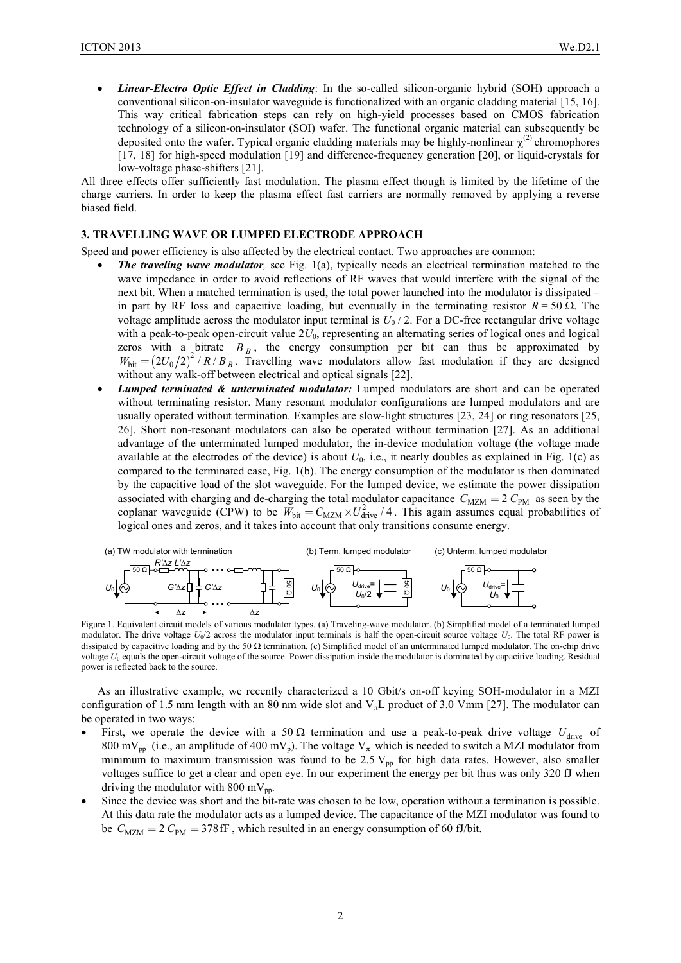• *Linear-Electro Optic Effect in Cladding*: In the so-called silicon-organic hybrid (SOH) approach a conventional silicon-on-insulator waveguide is functionalized with an organic cladding material [15, 16]. This way critical fabrication steps can rely on high-yield processes based on CMOS fabrication technology of a silicon-on-insulator (SOI) wafer. The functional organic material can subsequently be deposited onto the wafer. Typical organic cladding materials may be highly-nonlinear  $\chi^{(2)}$  chromophores [17, 18] for high-speed modulation [19] and difference-frequency generation [20], or liquid-crystals for low-voltage phase-shifters [21].

All three effects offer sufficiently fast modulation. The plasma effect though is limited by the lifetime of the charge carriers. In order to keep the plasma effect fast carriers are normally removed by applying a reverse biased field.

### **3. TRAVELLING WAVE OR LUMPED ELECTRODE APPROACH**

Speed and power efficiency is also affected by the electrical contact. Two approaches are common:

- *The traveling wave modulator,* see Fig. 1(a), typically needs an electrical termination matched to the wave impedance in order to avoid reflections of RF waves that would interfere with the signal of the next bit. When a matched termination is used, the total power launched into the modulator is dissipated – in part by RF loss and capacitive loading, but eventually in the terminating resistor  $R = 50 \Omega$ . The voltage amplitude across the modulator input terminal is  $U_0/2$ . For a DC-free rectangular drive voltage with a peak-to-peak open-circuit value 2U<sub>0</sub>, representing an alternating series of logical ones and logical zeros with a bitrate  $B_B$ , the energy consumption per bit can thus be approximated by  $W_{\text{bit}} = (2U_0/2)^2 / R / B_B$ . Travelling wave modulators allow fast modulation if they are designed without any walk-off between electrical and optical signals [22].
- *Lumped terminated & unterminated modulator:* Lumped modulators are short and can be operated without terminating resistor. Many resonant modulator configurations are lumped modulators and are usually operated without termination. Examples are slow-light structures [23, 24] or ring resonators [25, 26]. Short non-resonant modulators can also be operated without termination [27]. As an additional advantage of the unterminated lumped modulator, the in-device modulation voltage (the voltage made available at the electrodes of the device) is about  $U_0$ , i.e., it nearly doubles as explained in Fig. 1(c) as compared to the terminated case, Fig. 1(b). The energy consumption of the modulator is then dominated by the capacitive load of the slot waveguide. For the lumped device, we estimate the power dissipation associated with charging and de-charging the total modulator capacitance  $C_{MZM} = 2 C_{PM}$  as seen by the coplanar waveguide (CPW) to be  $W_{\text{bit}} = C_{\text{MZM}} \times U_{\text{drive}}^2 / 4$ . This again assumes equal probabilities of logical ones and zeros, and it takes into account that only transitions consume energy.



Figure 1. Equivalent circuit models of various modulator types. (a) Traveling-wave modulator. (b) Simplified model of a terminated lumped modulator. The drive voltage  $U_0/2$  across the modulator input terminals is half the open-circuit source voltage  $U_0$ . The total RF power is dissipated by capacitive loading and by the 50  $\Omega$  termination. (c) Simplified model of an unterminated lumped modulator. The on-chip drive voltage *U*<sub>0</sub> equals the open-circuit voltage of the source. Power dissipation inside the modulator is dominated by capacitive loading. Residual power is reflected back to the source.

As an illustrative example, we recently characterized a 10 Gbit/s on-off keying SOH-modulator in a MZI configuration of 1.5 mm length with an 80 nm wide slot and  $V<sub>π</sub>$ L product of 3.0 Vmm [27]. The modulator can be operated in two ways:

- First, we operate the device with a 50  $\Omega$  termination and use a peak-to-peak drive voltage  $U_{\text{drive}}$  of 800 mV<sub>pp</sub> (i.e., an amplitude of 400 mV<sub>p</sub>). The voltage V<sub> $\pi$ </sub> which is needed to switch a MZI modulator from minimum to maximum transmission was found to be  $2.5 V_{pp}$  for high data rates. However, also smaller voltages suffice to get a clear and open eye. In our experiment the energy per bit thus was only 320 fJ when driving the modulator with 800 mV<sub>pp</sub>.
- Since the device was short and the bit-rate was chosen to be low, operation without a termination is possible. At this data rate the modulator acts as a lumped device. The capacitance of the MZI modulator was found to be  $C_{\text{MZM}} = 2 C_{\text{PM}} = 378$  fF, which resulted in an energy consumption of 60 fJ/bit.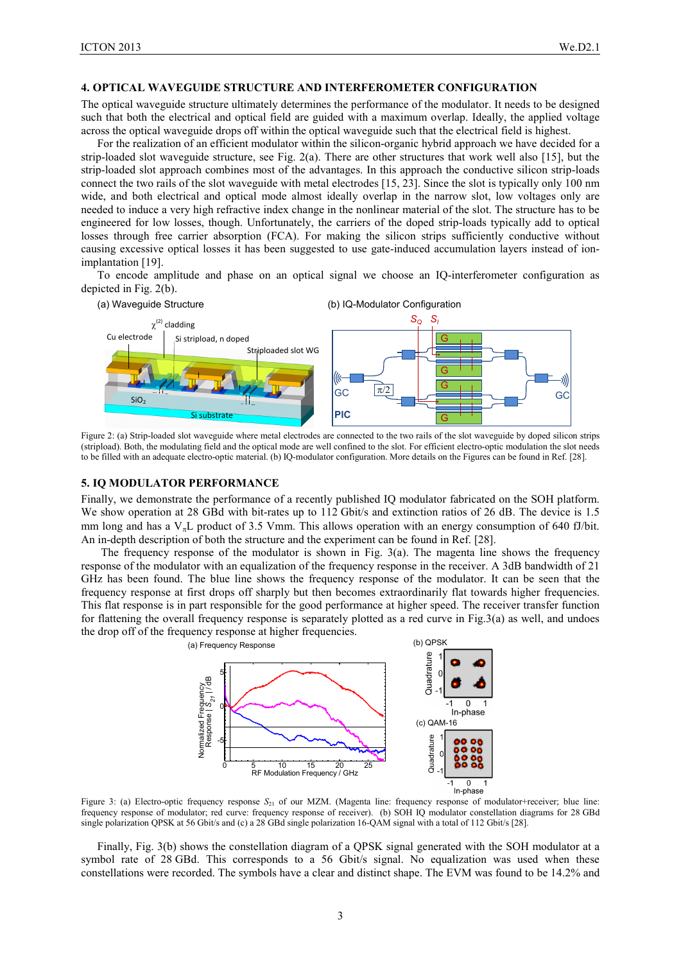### **4. OPTICAL WAVEGUIDE STRUCTURE AND INTERFEROMETER CONFIGURATION**

The optical waveguide structure ultimately determines the performance of the modulator. It needs to be designed such that both the electrical and optical field are guided with a maximum overlap. Ideally, the applied voltage across the optical waveguide drops off within the optical waveguide such that the electrical field is highest.

For the realization of an efficient modulator within the silicon-organic hybrid approach we have decided for a strip-loaded slot waveguide structure, see Fig. 2(a). There are other structures that work well also [15], but the strip-loaded slot approach combines most of the advantages. In this approach the conductive silicon strip-loads connect the two rails of the slot waveguide with metal electrodes [15, 23]. Since the slot is typically only 100 nm wide, and both electrical and optical mode almost ideally overlap in the narrow slot, low voltages only are needed to induce a very high refractive index change in the nonlinear material of the slot. The structure has to be engineered for low losses, though. Unfortunately, the carriers of the doped strip-loads typically add to optical losses through free carrier absorption (FCA). For making the silicon strips sufficiently conductive without causing excessive optical losses it has been suggested to use gate-induced accumulation layers instead of ionimplantation [19].

To encode amplitude and phase on an optical signal we choose an IQ-interferometer configuration as depicted in Fig. 2(b).



Figure 2: (a) Strip-loaded slot waveguide where metal electrodes are connected to the two rails of the slot waveguide by doped silicon strips (stripload). Both, the modulating field and the optical mode are well confined to the slot. For efficient electro-optic modulation the slot needs to be filled with an adequate electro-optic material. (b) IQ-modulator configuration. More details on the Figures can be found in Ref. [28].

#### **5. IQ MODULATOR PERFORMANCE**

Finally, we demonstrate the performance of a recently published IQ modulator fabricated on the SOH platform. We show operation at 28 GBd with bit-rates up to 112 Gbit/s and extinction ratios of 26 dB. The device is 1.5 mm long and has a  $V<sub>n</sub>L$  product of 3.5 Vmm. This allows operation with an energy consumption of 640 fJ/bit. An in-depth description of both the structure and the experiment can be found in Ref. [28].

The frequency response of the modulator is shown in Fig. 3(a). The magenta line shows the frequency response of the modulator with an equalization of the frequency response in the receiver. A 3dB bandwidth of 21 GHz has been found. The blue line shows the frequency response of the modulator. It can be seen that the frequency response at first drops off sharply but then becomes extraordinarily flat towards higher frequencies. This flat response is in part responsible for the good performance at higher speed. The receiver transfer function for flattening the overall frequency response is separately plotted as a red curve in Fig.3(a) as well, and undoes the drop off of the frequency response at higher frequencies.



Figure 3: (a) Electro-optic frequency response  $S_{21}$  of our MZM. (Magenta line: frequency response of modulator+receiver; blue line: frequency response of modulator; red curve: frequency response of receiver). (b) SOH IQ modulator constellation diagrams for 28 GBd single polarization QPSK at 56 Gbit/s and (c) a 28 GBd single polarization 16-QAM signal with a total of 112 Gbit/s [28].

Finally, Fig. 3(b) shows the constellation diagram of a QPSK signal generated with the SOH modulator at a symbol rate of 28 GBd. This corresponds to a 56 Gbit/s signal. No equalization was used when these constellations were recorded. The symbols have a clear and distinct shape. The EVM was found to be 14.2% and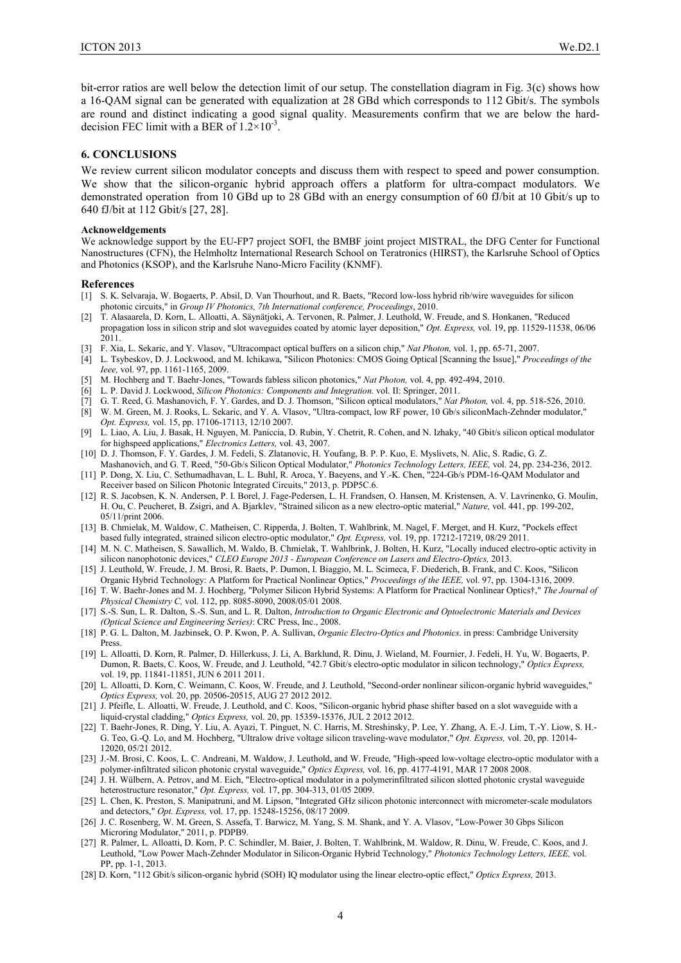bit-error ratios are well below the detection limit of our setup. The constellation diagram in Fig. 3(c) shows how a 16-QAM signal can be generated with equalization at 28 GBd which corresponds to 112 Gbit/s. The symbols are round and distinct indicating a good signal quality. Measurements confirm that we are below the harddecision FEC limit with a BER of  $1.2 \times 10^{-3}$ .

#### **6. CONCLUSIONS**

We review current silicon modulator concepts and discuss them with respect to speed and power consumption. We show that the silicon-organic hybrid approach offers a platform for ultra-compact modulators. We demonstrated operation from 10 GBd up to 28 GBd with an energy consumption of 60 fJ/bit at 10 Gbit/s up to 640 fJ/bit at 112 Gbit/s [27, 28].

#### **Acknoweldgements**

We acknowledge support by the EU-FP7 project SOFI, the BMBF joint project MISTRAL, the DFG Center for Functional Nanostructures (CFN), the Helmholtz International Research School on Teratronics (HIRST), the Karlsruhe School of Optics and Photonics (KSOP), and the Karlsruhe Nano-Micro Facility (KNMF).

#### **References**

- [1] S. K. Selvaraja, W. Bogaerts, P. Absil, D. Van Thourhout, and R. Baets, "Record low-loss hybrid rib/wire waveguides for silicon photonic circuits," in *Group IV Photonics, 7th International conference, Proceedings*, 2010.
- [2] T. Alasaarela, D. Korn, L. Alloatti, A. Säynätjoki, A. Tervonen, R. Palmer, J. Leuthold, W. Freude, and S. Honkanen, "Reduced propagation loss in silicon strip and slot waveguides coated by atomic layer deposition," *Opt. Express,* vol. 19, pp. 11529-11538, 06/06 2011.
- [3] F. Xia, L. Sekaric, and Y. Vlasov, "Ultracompact optical buffers on a silicon chip," *Nat Photon,* vol. 1, pp. 65-71, 2007.
- [4] L. Tsybeskov, D. J. Lockwood, and M. Ichikawa, "Silicon Photonics: CMOS Going Optical [Scanning the Issue]," *Proceedings of the Ieee,* vol. 97, pp. 1161-1165, 2009.
- [5] M. Hochberg and T. Baehr-Jones, "Towards fabless silicon photonics," *Nat Photon,* vol. 4, pp. 492-494, 2010.
- [6] L. P. David J. Lockwood, *Silicon Photonics: Components and Integration.* vol. II: Springer, 2011.
- [7] G. T. Reed, G. Mashanovich, F. Y. Gardes, and D. J. Thomson, "Silicon optical modulators," *Nat Photon,* vol. 4, pp. 518-526, 2010.
- [8] W. M. Green, M. J. Rooks, L. Sekaric, and Y. A. Vlasov, "Ultra-compact, low RF power, 10 Gb/s siliconMach-Zehnder modulator," *Opt. Express,* vol. 15, pp. 17106-17113, 12/10 2007.
- [9] L. Liao, A. Liu, J. Basak, H. Nguyen, M. Paniccia, D. Rubin, Y. Chetrit, R. Cohen, and N. Izhaky, "40 Gbit/s silicon optical modulator for highspeed applications," *Electronics Letters,* vol. 43, 2007.
- [10] D. J. Thomson, F. Y. Gardes, J. M. Fedeli, S. Zlatanovic, H. Youfang, B. P. P. Kuo, E. Myslivets, N. Alic, S. Radic, G. Z.
- Mashanovich, and G. T. Reed, "50-Gb/s Silicon Optical Modulator," *Photonics Technology Letters, IEEE,* vol. 24, pp. 234-236, 2012. [11] P. Dong, X. Liu, C. Sethumadhavan, L. L. Buhl, R. Aroca, Y. Baeyens, and Y.-K. Chen, "224-Gb/s PDM-16-QAM Modulator and
- Receiver based on Silicon Photonic Integrated Circuits," 2013, p. PDP5C.6. [12] R. S. Jacobsen, K. N. Andersen, P. I. Borel, J. Fage-Pedersen, L. H. Frandsen, O. Hansen, M. Kristensen, A. V. Lavrinenko, G. Moulin, H. Ou, C. Peucheret, B. Zsigri, and A. Bjarklev, "Strained silicon as a new electro-optic material," *Nature,* vol. 441, pp. 199-202, 05/11/print 2006.
- [13] B. Chmielak, M. Waldow, C. Matheisen, C. Ripperda, J. Bolten, T. Wahlbrink, M. Nagel, F. Merget, and H. Kurz, "Pockels effect based fully integrated, strained silicon electro-optic modulator," *Opt. Express,* vol. 19, pp. 17212-17219, 08/29 2011.
- [14] M. N. C. Matheisen, S. Sawallich, M. Waldo, B. Chmielak, T. Wahlbrink, J. Bolten, H. Kurz, "Locally induced electro-optic activity in silicon nanophotonic devices," *CLEO Europe 2013 - European Conference on Lasers and Electro-Optics,* 2013.
- [15] J. Leuthold, W. Freude, J. M. Brosi, R. Baets, P. Dumon, I. Biaggio, M. L. Scimeca, F. Diederich, B. Frank, and C. Koos, "Silicon Organic Hybrid Technology: A Platform for Practical Nonlinear Optics," *Proceedings of the IEEE,* vol. 97, pp. 1304-1316, 2009.
- [16] T. W. Baehr-Jones and M. J. Hochberg, "Polymer Silicon Hybrid Systems: A Platform for Practical Nonlinear Optics†," *The Journal of Physical Chemistry C,* vol. 112, pp. 8085-8090, 2008/05/01 2008.
- [17] S.-S. Sun, L. R. Dalton, S.-S. Sun, and L. R. Dalton, *Introduction to Organic Electronic and Optoelectronic Materials and Devices (Optical Science and Engineering Series)*: CRC Press, Inc., 2008.
- [18] P. G. L. Dalton, M. Jazbinsek, O. P. Kwon, P. A. Sullivan, *Organic Electro-Optics and Photonics*. in press: Cambridge University Press.
- [19] L. Alloatti, D. Korn, R. Palmer, D. Hillerkuss, J. Li, A. Barklund, R. Dinu, J. Wieland, M. Fournier, J. Fedeli, H. Yu, W. Bogaerts, P. Dumon, R. Baets, C. Koos, W. Freude, and J. Leuthold, "42.7 Gbit/s electro-optic modulator in silicon technology," *Optics Express,*  vol. 19, pp. 11841-11851, JUN 6 2011 2011.
- [20] L. Alloatti, D. Korn, C. Weimann, C. Koos, W. Freude, and J. Leuthold, "Second-order nonlinear silicon-organic hybrid waveguides," *Optics Express,* vol. 20, pp. 20506-20515, AUG 27 2012 2012.
- [21] J. Pfeifle, L. Alloatti, W. Freude, J. Leuthold, and C. Koos, "Silicon-organic hybrid phase shifter based on a slot waveguide with a liquid-crystal cladding," *Optics Express,* vol. 20, pp. 15359-15376, JUL 2 2012 2012.
- [22] T. Baehr-Jones, R. Ding, Y. Liu, A. Ayazi, T. Pinguet, N. C. Harris, M. Streshinsky, P. Lee, Y. Zhang, A. E.-J. Lim, T.-Y. Liow, S. H.- G. Teo, G.-Q. Lo, and M. Hochberg, "Ultralow drive voltage silicon traveling-wave modulator," *Opt. Express,* vol. 20, pp. 12014- 12020, 05/21 2012.
- [23] J.-M. Brosi, C. Koos, L. C. Andreani, M. Waldow, J. Leuthold, and W. Freude, "High-speed low-voltage electro-optic modulator with a polymer-infiltrated silicon photonic crystal waveguide," *Optics Express,* vol. 16, pp. 4177-4191, MAR 17 2008 2008.
- [24] J. H. Wülbern, A. Petrov, and M. Eich, "Electro-optical modulator in a polymerinfiltrated silicon slotted photonic crystal waveguide heterostructure resonator," *Opt. Express,* vol. 17, pp. 304-313, 01/05 2009.
- [25] L. Chen, K. Preston, S. Manipatruni, and M. Lipson, "Integrated GHz silicon photonic interconnect with micrometer-scale modulators and detectors," *Opt. Express,* vol. 17, pp. 15248-15256, 08/17 2009.
- [26] J. C. Rosenberg, W. M. Green, S. Assefa, T. Barwicz, M. Yang, S. M. Shank, and Y. A. Vlasov, "Low-Power 30 Gbps Silicon Microring Modulator," 2011, p. PDPB9.
- [27] R. Palmer, L. Alloatti, D. Korn, P. C. Schindler, M. Baier, J. Bolten, T. Wahlbrink, M. Waldow, R. Dinu, W. Freude, C. Koos, and J. Leuthold, "Low Power Mach-Zehnder Modulator in Silicon-Organic Hybrid Technology," *Photonics Technology Letters, IEEE,* vol. PP, pp. 1-1, 2013.
- [28] D. Korn, "112 Gbit/s silicon-organic hybrid (SOH) IQ modulator using the linear electro-optic effect," *Optics Express,* 2013.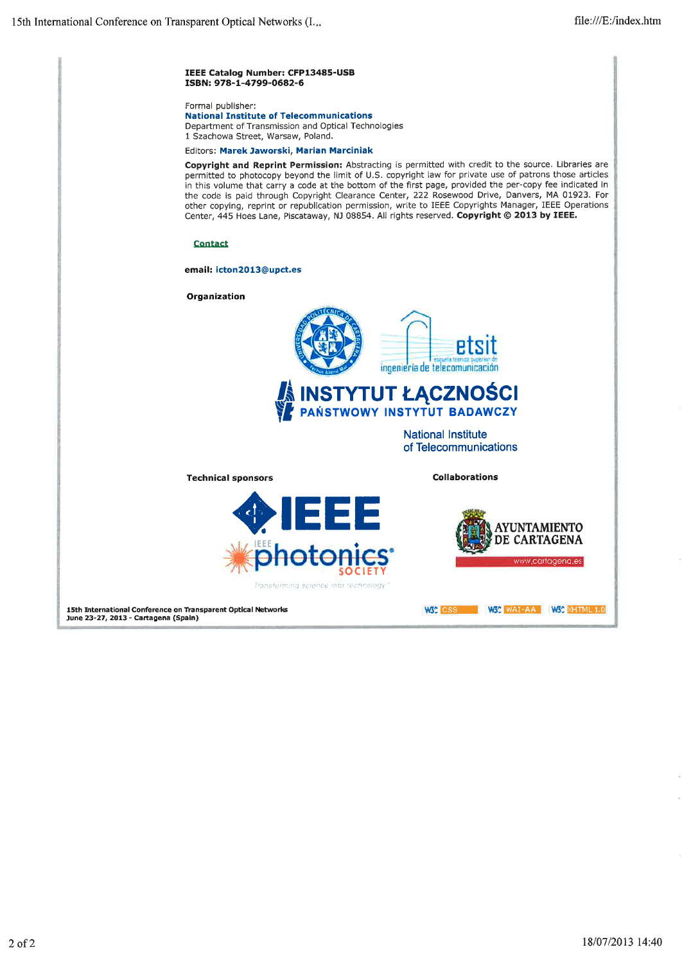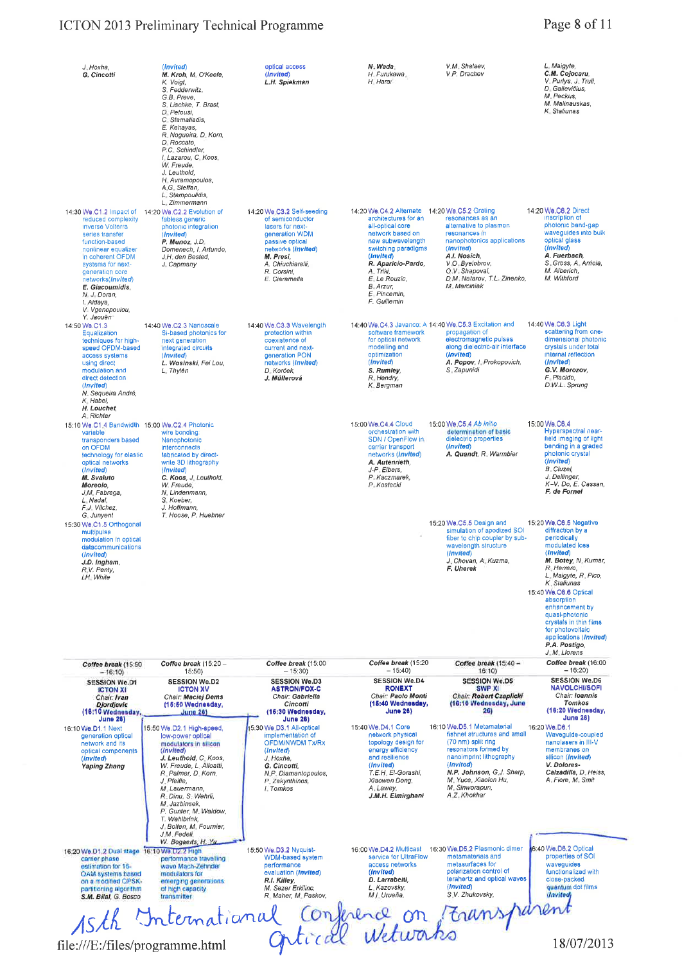## ICTON 2013 Preliminary Technical Programme

| J. Hoxha,<br>G. Cincotti                                                                                                                                                                                                                                       | (Invited)<br>M. Kroh, M. O'Keefe,<br>K. Voigt,<br>S. Fedderwitz.<br>G.B. Preve,<br>S. Lischke, T. Brast,<br>D. Petousi.<br>C. Stamatiadis,<br>E. Kehavas.<br>R. Nogueira, D. Korn,<br>D Roccato,<br>P.C. Schindler.<br>I Lazarou, C. Koos,<br>W. Freude.<br>J. Leuthold,<br>H. Avramopoulos,<br>A.G. Steffan,<br>L. Stampoulidis, | optical access<br>(Invited)<br>L.H. Spiekman                                                                                                                                                    | N. Wada<br>H. Furukawa,<br>H Harai                                                                                                                                                                                                                                      | V.M. Shalaev,<br>V.P. Drachev                                                                                                                                                                                                           | L. Maigyte,<br>C.M. Cojocaru,<br>V. Purlys, J. Trull,<br>D. Gailevičius,<br>M. Peckus,<br>M. Malinauskas,<br>K. Staliunas                                                                                                                                                                                                                                    |
|----------------------------------------------------------------------------------------------------------------------------------------------------------------------------------------------------------------------------------------------------------------|-----------------------------------------------------------------------------------------------------------------------------------------------------------------------------------------------------------------------------------------------------------------------------------------------------------------------------------|-------------------------------------------------------------------------------------------------------------------------------------------------------------------------------------------------|-------------------------------------------------------------------------------------------------------------------------------------------------------------------------------------------------------------------------------------------------------------------------|-----------------------------------------------------------------------------------------------------------------------------------------------------------------------------------------------------------------------------------------|--------------------------------------------------------------------------------------------------------------------------------------------------------------------------------------------------------------------------------------------------------------------------------------------------------------------------------------------------------------|
| reduced complexity<br><b>Inverse Volterra</b><br>series transfer<br>function-based<br>nonlinear equalizer<br>in coherent OFDM<br>systems for next-<br>generation core<br>networks(Invited)<br>E. Giacoumidis.<br>N. J. Doran,<br>I. Aldaya,<br>V. Vgenopoulou, | L. Zimmermann<br>14:30 We.C1.2 Impact of 14:20 We.C2.2 Evolution of<br>fabless generic<br>photonic integration<br>(Invited)<br>P. Munoz, J.D.<br>Domenech, I. Artundo,<br>J.H. den Bested,<br>J. Capmany                                                                                                                          | 14:20 We C3.2 Self-seeding<br>of semiconductor<br>lasers for next-<br>generation WDM<br>passive optical<br>networks (Invited)<br>M. Presi.<br>A. Chiuchiarelli,<br>R. Corsini.<br>E. Ciaramella | 14:20 We.C4.2 Alternate 14:20 We.C5.2 Grating<br>architectures for an<br>all-optical core<br>network based on<br>new subwavelength<br>switching paradigms<br>(Invited)<br>R. Aparicio-Pardo,<br>A. Triki,<br>E. Le Rouzic,<br>B. Arzur,<br>E. Pincemin,<br>F. Guillemin | resonances as an<br>alternative to plasmon<br>resonances in<br>nanophotonics applications<br>(Invited)<br>A.I. Nosich,<br>V.O. Byelobrov,<br>O.V. Shapoval,<br>D.M. Natarov, T.L. Zinenko,<br>M. Marciniak                              | 14:20 We.C6.2 Direct<br>inscription of<br>photonic band-gap<br>waveguides into bulk<br>oplical glass<br>(Invited)<br>A. Fuerbach,<br>S. Gross, A. Arriola,<br>M. Alberich.<br>M. Withford                                                                                                                                                                    |
| Y. Jaouën<br>14:50 We.C1.3<br>Equalization<br>techniques for high-<br>speed OFDM-based<br>access systems<br>using direct<br>modulation and<br>direct detection<br>(Invited)<br>N. Sequeira André,<br>K Habel,<br>H. Louchet.<br>A Richter                      | 14:40 We.C2.3 Nanoscale<br>Si-based photonics for<br>next generation<br>integrated circuits<br>(Invited)<br>L. Wosinski, Fei Lou,<br>L. Thylén                                                                                                                                                                                    | 14:40 We.C3.3 Wavelength<br>protection within<br>coexistence of<br>current and next-<br>generation PON<br>networks (Invited)<br>D. Korček,<br>J. Müllerová                                      | software framework<br>for optical network<br>modelling and<br>optimization<br>(Invited)<br>S. Rumley,<br>R. Hendry,<br>K. Bergman                                                                                                                                       | 14:40 We, C4.3 Javanco: A 14:40 We, C5.3 Excitation and<br>propagation of<br>electromagnetic pulses<br>along dielectric-air interface<br>(Invited)<br>A. Popov, I. Prokopovich,<br>S. Zapunidi                                          | 14:40 We.C6.3 Light<br>scattering from one-<br>dimensional photonic<br>crystals under total<br>internal reflection<br>$(Inv$ $\{led}$<br>G.V. Morozov.<br>F. Placido,<br>D.W.L. Sprung                                                                                                                                                                       |
| 15:10 We.C1.4 Bandwidth 15:00 We.C2.4 Photonic<br>variable<br>transponders based<br>on OFDM<br>technology for elastic<br>optical networks<br>(Invited)<br>M. Svaluto<br>Moreolo,<br>J.M. Fabrega,<br>L. Nadal.<br>F.J. Vilchez,                                | wire bonding:<br>Nanophotonic<br>interconnects<br>fabricated by direct-<br>write 3D lithography<br>(Invited)<br>C. Koos, J. Leuthold,<br>W. Freude,<br>N. Lindenmann,<br>S. Koeber,<br>J. Hoffmann,                                                                                                                               |                                                                                                                                                                                                 | 15:00 We.C4.4 Cloud<br>orchestration with<br>SDN / OpenFlow in<br>carrier transport<br>networks (Invited)<br>A. Autenrieth,<br>J-P. Elbers,<br>P. Kaczmarek,<br>P. Kostecki                                                                                             | 15:00 We C5.4 Ab initio<br>determination of basic<br>dielectric properties<br>(Invited)<br>A. Quandt, R. Warmbier                                                                                                                       | 15:00 We, C6,4<br>Hyperspectral near-<br>field imaging of light<br>bending in a graded<br>photonic crystal<br>(Invited)<br><b>B.</b> Cluzel.<br>J. Dellinger,<br>K-V. Do, E. Cassan,<br>F. de Fornel                                                                                                                                                         |
| G. Junyent<br>15:30 We, C1.5 Orthogonal<br>multipulse<br>modulation in optical<br>datacommunications<br>(Invited)<br>J.D. Ingham,<br>R.V. Penty,<br>I.H. White                                                                                                 | T. Hoose, P. Huebner                                                                                                                                                                                                                                                                                                              |                                                                                                                                                                                                 |                                                                                                                                                                                                                                                                         | 15:20 We.C5.5 Design and<br>simulation of apodized SOI<br>fiber to chip coupler by sub-<br>wavelength structure<br>(Invited)<br>J. Chovan, A. Kuzma,<br>F. Uherek                                                                       | 15:20 We.C6.5 Negative<br>diffraction by a<br>periodically<br>modulated loss<br>(Invited)<br>M. Botey, N. Kumar,<br>R. Herrero,<br>L, Maigyte, R, Pico,<br>K. Staliunas<br>15:40 We.C6.6 Optical<br>absorption<br>enhancement by<br>quasi-photonic<br>crystals in thin films<br>for photovoltaic<br>applications (Invited)<br>P.A. Postigo,<br>J. M. Llorens |
| Coffee break (15:50                                                                                                                                                                                                                                            | Coffee break (15:20 -                                                                                                                                                                                                                                                                                                             | Coffee break (15:00                                                                                                                                                                             | Coffee break (15:20                                                                                                                                                                                                                                                     | Coffee break (15:40 -                                                                                                                                                                                                                   | Coffee break (16:00                                                                                                                                                                                                                                                                                                                                          |
| $-16:10$<br><b>SESSION We.D1</b><br><b>ICTON XI</b><br>Chair: Ivan<br><b>Djordjevic</b><br>(18:10 Wednesday,<br><b>June 28)</b>                                                                                                                                | 15:50<br><b>SESSION We.D2</b><br><b>ICTON XV</b><br>Chair: Maciej Dems<br>(15:50 Wednesday,<br><b>June 26)</b>                                                                                                                                                                                                                    | $-15:30$<br><b>SESSION We.D3</b><br><b>ASTRON/FOX-C</b><br>Chair: Gabriella<br>Cincotti<br>(15:30 Wednesday,<br><b>June 26)</b>                                                                 | $-15:40$<br><b>SESSION We.D4</b><br><b>RONEXT</b><br>Chair: Paolo Monti<br>(15:40 Wednesday,<br><b>June 26)</b>                                                                                                                                                         | 16:10)<br><b>SESSION We.D5</b><br><b>SWP XI</b><br>Chair: Robert Czaplicki<br>(16:10 Wednesday, June<br>26)                                                                                                                             | $-16:20$<br><b>SESSION We.D6</b><br><b>NAVOLCHI/SOFI</b><br>Chair: Ioannis<br><b>Tomkos</b><br>(16:20 Wednesday,<br><b>June 26)</b>                                                                                                                                                                                                                          |
| 16:10 We.D1.1 Next<br>generation optical<br>network and its<br>optical components<br>(Invited)<br><b>Yaping Zhang</b>                                                                                                                                          | 15:50 We.D2.1 High-speed,<br>low-power optical<br>modulators in allicon<br>(invited)<br>J. Leuthold, C. Koos,<br>W. Freude, L. Alloatti,<br>R. Palmer, D. Korn,<br>J. Pfeifle,<br>M. Lauermann,<br>R. Dinu, S. Wehrli,<br>M. Jazbinsek,<br>P. Gunter, M. Waldow.<br>T. Wahlbrink,<br>J. Bolten, M. Fournier,<br>J.M. Fedeli,      | 15:30 We D3.1 All-optical<br>implementation of<br>OFDM/NWDM Tx/Rx<br>(Invited)<br>J. Hoxha,<br>G. Cincotti,<br>N.P. Diamantopoulos,<br>P. Zakynthinos,<br>I. Tomkos                             | 15:40 We.D4.1 Core<br>network physical<br>topology design for<br>energy efficiency<br>and resilience<br>(Invited)<br>T.E.H. El-Gorashi,<br>Xiaowen Dong,<br>A. Lawey.<br>J.M.H. Elmirghani                                                                              | 16:10 We.D5.1 Metamaterial<br>fishnet structures and small<br>(70 nm) split ring<br>resonators formed by<br>nanoimprint lithography<br>(Invited)<br>N.P. Johnson, G.J. Sharp,<br>M. Yuce, Xiaolon Hu,<br>M. Sinworapun,<br>A.Z. Khokhar | 16:20 We.D6.1<br>Wavegulde-coupled<br>nanolasers in III-V<br>membranes on<br>silicon (Invited)<br>V. Dolores-<br>Calzadilla, D. Heiss,<br>A. Fiore, M. Smit                                                                                                                                                                                                  |
| 16:20 We.D1.2 Dual stage 16:10 We.D2.2 High<br>carrier phase<br>estimation for 16-<br>QAM systems based<br>on a modified QPSK-<br>partitioning algorithm<br>S.M. Bilal, G. Bosco                                                                               | W. Bogaerts, H. Yu.<br>performance travelling<br>wave Mach-Zehnder<br>modulators for<br>emorging generations<br>of high capacity.<br>transmitter                                                                                                                                                                                  | 15:50 We.D3.2 Nyquist-<br>WDM-based system<br>performance<br>evaluation (Invited)<br>R.I. Killey.<br>M. Sezer Erkilinc,<br>R. Maher, M. Paskov,                                                 | service for UltraFlow<br>access networks<br>(Invited)<br>D. Larrabeiti,<br>L. Kazovsky,<br>M.I. Urueña,                                                                                                                                                                 | 16:00 We, D4.2 Multicast 16:30 We, D5,2 Plasmonic dimer<br>metamaterials and<br>metasurfaces for<br>polarization control of<br>terahertz and optical waves<br>(Invited)<br>S.V. Zhukovsky,                                              | 6:40 We.D6.2 Optical<br>properties of SOI<br>waveguides<br>functionalized with<br>close-packed<br>quantum dot films<br>(Invited)                                                                                                                                                                                                                             |

15th International Conference on Fransparent file:///E:/files/programme.html

18/07/2013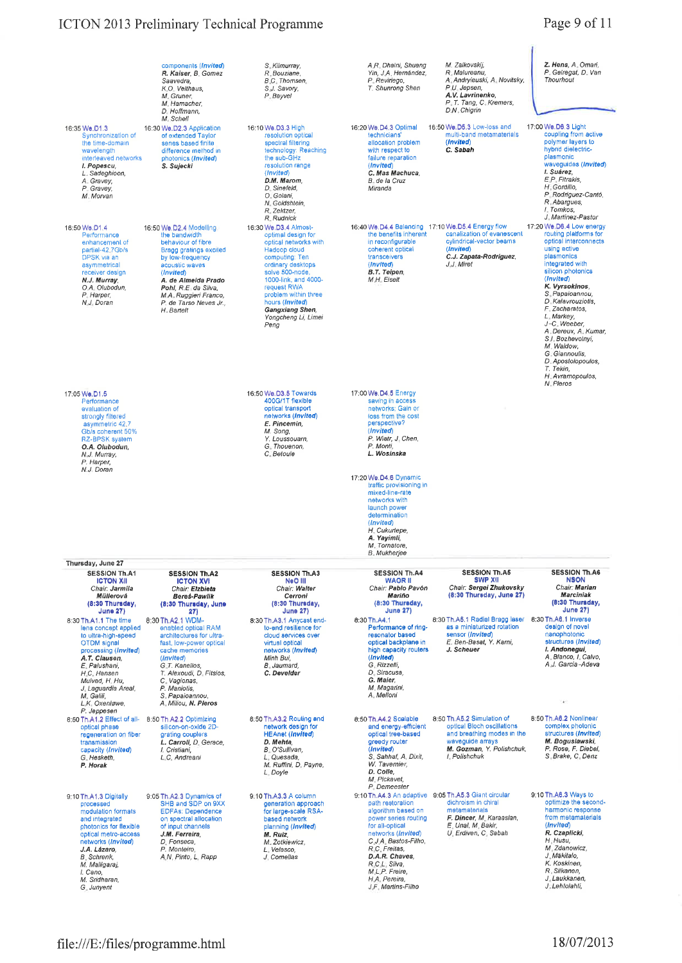# ICTON 2013 Preliminary Technical Programme

# Page 9 of 11

|                                                                                                                                                                                                                                                                                            | components (Invited)<br>R. Kaiser, B. Gomez<br>Saavedra,<br>K.O. Velthaus,<br>M. Gruner,<br>M. Hamacher,<br>D. Hoffmann,                                                                                                                                                               | S. Kilmurray.<br>R. Bouziane.<br><b>B.C. Thomsen.</b><br>S.J. Savory.<br>P Bayvel                                                                                                                                                                                                  | A.R. Dhaini, Shuang<br>Yin, J.A. Hernández,<br>P. Reviriego,<br>T. Shunrong Shen                                                                                                                                                                                                                                                                                                  | M. Zalkovskij,<br>R. Malureanu.<br>A. Andryieuski, A. Novitsky,<br>P U Jepsen,<br>A.V. Lavrinenko,<br>P. T. Tang, C. Kremers,<br>D.N. Chigrin                          | Z. Hens, A. Omari,<br>P. Geireaat, D. Van<br>Thourhout                                                                                                                                                                                                                                                                                                                                                                    |
|--------------------------------------------------------------------------------------------------------------------------------------------------------------------------------------------------------------------------------------------------------------------------------------------|----------------------------------------------------------------------------------------------------------------------------------------------------------------------------------------------------------------------------------------------------------------------------------------|------------------------------------------------------------------------------------------------------------------------------------------------------------------------------------------------------------------------------------------------------------------------------------|-----------------------------------------------------------------------------------------------------------------------------------------------------------------------------------------------------------------------------------------------------------------------------------------------------------------------------------------------------------------------------------|------------------------------------------------------------------------------------------------------------------------------------------------------------------------|---------------------------------------------------------------------------------------------------------------------------------------------------------------------------------------------------------------------------------------------------------------------------------------------------------------------------------------------------------------------------------------------------------------------------|
| 16:35 We.D1.3<br>Synchronization of<br>the time-domain<br>wavelength<br>interleaved networks<br>I. Popescu,<br>L. Sadeghioon,<br>A. Gravey,<br>P. Gravey,<br>M. Morvan                                                                                                                     | M. Schell<br>16:30 We.D2.3 Application<br>of extended Taylor<br>series based finite<br>difference method in<br>photonics (Invited)<br>S. Sujecki                                                                                                                                       | 16:10 We.D3.3 High<br>resolution optical<br>spectral filtering<br>technology: Reaching<br>the sub-GHz<br>resolution range<br>(Invited)<br>D.M. Marom.<br>D. Sinefeld,<br>O. Golani,<br>N. Goldshtein,<br>R. Zektzer,<br>R. Rudnick                                                 | 16:20 We, D4,3 Optimal<br>technicians'<br>allocation problem<br>with respect to<br>failure reparation<br>(Invited)<br>C. Mas Machuca,<br>B, de la Cruz<br>Miranda                                                                                                                                                                                                                 | 16:50 We.D5.3 Low-loss and<br>multi-band metamaterials<br>(Invited)<br>C. Sapah                                                                                        | 17:00 We.D6.3 Light<br>coupling from active<br>polymer layers to<br>hybrid dielectric-<br>plasmonic<br>waveguides (Invited)<br>I. Suárez.<br>E.P. Fitrakis,<br>H. Gordillo,<br>P Rodriguez-Cantó,<br>R. Abargues,<br>I. Tomkos,<br>J. Martinez-Pastor                                                                                                                                                                     |
| 16:50 We.D1.4<br>Performance<br>enhancement of<br>partial-42,7Gb/s<br>DPSK via an<br>asymmetrical<br>receiver design<br>N.J. Murray.<br>O.A. Olubodun,<br>P. Harper,<br>N.J. Doran                                                                                                         | 16:50 We.D2.4 Modelling<br>the bandwidth<br>behaviour of fibre<br>Bragg gratings excited<br>by low-frequency<br>acoustic waves<br>(Invited)<br>A. de Almeida Prado<br>Pohl, R.E. da Silva,<br>M.A. Ruggieri Franco,<br>P. de Tarso Neves Jr.,<br>H. Bartelt                            | 16:30 We.D3.4 Almost-<br>optimal design for<br>optical networks with<br>Hadoop cloud<br>computing: Ten<br>ordinary desktops<br>solve 500-node,<br>1000-link, and 4000-<br>request RWA<br>problem within three<br>hours (Invited)<br>Gangxiang Shen,<br>Yongcheng Li, Limei<br>Peng | 16:40 We.D4.4 Balancing 17:10 We.D5.4 Energy flow<br>the banefits inherent<br>in reconfigurable<br>coherent optical<br>transceivers<br>(Invited)<br>B.T. Teipen,<br>M.H. Eiselt                                                                                                                                                                                                   | canalization of evanescent<br>cylindrical-vector beams<br>(Invited)<br>C.J. Zapata-Rodríguez,<br>J.J. Miret                                                            | 17:20 We.D6.4 Low energy<br>routing platforms for<br>optical interconnects<br>using active<br>plasmonics<br>integrated with<br>silicon photonics<br>(Invited)<br>K. Vyrsokinos,<br>S. Papaioannou,<br>D. Kalavrouziotis,<br>F. Zacharatos,<br>L. Markey,<br>J-C. Weeber.<br>A. Dereux, A. Kumar,<br>S.I. Bozhevolnyi.<br>M. Waldow,<br>G. Giannoulis,<br>D. Apostolopoulos.<br>T. Tekin,<br>H. Avramopoulos,<br>N. Pleros |
| 17:05 We, D1.5<br>Performance<br>evaluation of<br>strongly filtered<br>asymmetric 42.7<br>Gb/s coherent 50%<br>RZ-BPSK system<br>O.A. Olubodun,<br>N.J. Murray,<br>P. Harper,<br>N.J. Doran                                                                                                |                                                                                                                                                                                                                                                                                        | 16:50 We.D3.5 Towards<br>400G/1T flexible<br>optical transport<br>networks (Invited)<br>E. Pincemin,<br>M. Song.<br>Y. Loussouarn,<br>G. Thouenon.<br>C. Betoule                                                                                                                   | 17:00 We, D4,5 Energy<br>saving in access<br>networks; Gain or<br>loss from the cost<br>perspective?<br>(Invited)<br>P. Wiatr, J. Chen,<br>P. Monti,<br>L. Wosinska<br>17:20 We.D4.6 Dynamic<br>traffic provisioning in<br>mixed-line-rate<br>networks with<br>launch power<br>determination<br>(Invited)<br>H. Cukurtepe,<br>A. Yayimli,<br>M. Tornatore,<br><b>B.</b> Mukherjee |                                                                                                                                                                        |                                                                                                                                                                                                                                                                                                                                                                                                                           |
| Thursday, June 27<br><b>SESSION Th.A1</b><br><b>ICTON XII</b><br>Chair: Jarmila<br>Müllerová                                                                                                                                                                                               | <b>SESSION Th.A2</b><br><b>ICTON XVI</b><br>Chair: Elzbieta<br>Bereś-Pawlik                                                                                                                                                                                                            | <b>SESSION Th.A3</b><br>NeO III<br>Chair: Walter<br>Cerroni                                                                                                                                                                                                                        | <b>SESSION Th.A4</b><br><b>WAOR II</b><br>Chair: Pablo Pavón<br>Mariño                                                                                                                                                                                                                                                                                                            | <b>SESSION Th.A5</b><br><b>SWP XII</b><br>Chair: Sergei Zhukovsky<br>(8:30 Thursday, June 27)                                                                          | <b>SESSION Th.A6</b><br><b>NSON</b><br>Chair: Marian<br><b>Marciniak</b>                                                                                                                                                                                                                                                                                                                                                  |
| (8:30 Thursday,<br><b>June 27)</b><br>8:30 Th.A1.1 The time<br>lens concept applied<br>to ultra-high-speed<br>OTDM signal<br>processing (Invited)<br>A.T. Clausen,<br>E. Palushani,<br>H.C. Hansen<br>Mulvad, H. Hu,<br>J. Laguardia Areal.<br>M. Galili,<br>L.K. Oxenløwe,<br>P. Jeppesen | (8:30 Thursday, June<br>27)<br>8:30 Th.A2.1 WDM-<br>enabled optical RAM<br>architectures for ultra-<br>fast, low-power optical<br>cache memories<br>(invited)<br>G.T. Kanellos,<br>T. Alexoudi, D. Fitsios,<br>C. Vagionas,<br>P. Maniotis,<br>S. Papaioannou,<br>A. Miliou, N. Pleros | (8:30 Thursday,<br><b>June 27)</b><br>8:30 Th.A3.1 Anycast end-<br>to-end resilience for<br>cloud services over<br>virtual optical<br>networks (Invited)<br>Minh Bui,<br>B. Jaumard,<br>C. Develder                                                                                | (8:30 Thursday,<br><b>June 27)</b><br>8:30 Th.A4.1<br>Performance of ring-<br>resonator based<br>optical backplane in<br>high capacity routers<br>(invited)<br>G. Rizzelli,<br>D. Siracusa.<br>G. Maier.<br>M. Magarini,<br>A. Melloni                                                                                                                                            | 8:30 Th.A5.1 Radial Bragg laser 8:30 Th.A6.1 Inverse<br>as a miniaturized rotation<br>sensor (Invited)<br>E. Ben-Basat, Y. Karni,<br>J. Scheuer                        | (8:30 Thursday,<br><b>June 27)</b><br>design of novel<br>nanophotonic<br>structures (Invited)<br>I. Andonegui,<br>A. Blanco, I. Calvo,<br>A.J. Garcia-Adeva<br>$\bullet$                                                                                                                                                                                                                                                  |
| 8:50 Th.A1.2 Effect of all-<br>optical phase<br>regeneration on fiber<br>transmission<br>capacity (Invited)<br>G. Hesketh,<br>P. Horak                                                                                                                                                     | 8:50 Th.A2.2 Optimizing<br>silicon-on-oxide 2D-<br>grating couplers<br>L. Carroll, D. Gerace,<br>I. Cristiani,<br>L.C. Andreani                                                                                                                                                        | 8:50 Th.A3.2 Routing and<br>network design for<br><b>HEAnet (Invited)</b><br>D. Mehta.<br>B. O'Sullivan,<br>L. Quesada,<br>M. Ruffini, D. Payne,<br>L. Doyle                                                                                                                       | 8:50 Th.A4.2 Scalable<br>and energy-efficient<br>optical tree-based<br>greedy router<br>(Invited)<br>S. Sahhaf, A. Dixit,<br>W. Tavemier.<br>D. Colle,<br>M. Pickavet,<br>P. Demeester                                                                                                                                                                                            | 8:50 Th.A5.2 Simulation of<br>optical Bloch oscillations<br>and breathing modes in the<br>waveguide arrays<br>M. Gozman, Y. Polishchuk,<br>I. Polishchuk               | 8:50 Th.A6.2 Nonlinear<br>complex photonic<br>structures (Invited)<br>M. Boguslawski,<br>P. Rose, F. Diebel,<br>S. Brake, C. Denz                                                                                                                                                                                                                                                                                         |
| 9:10 Th.A1.3 Digitally<br>processed<br>modulation formats<br>and integrated<br>photonics for flexible<br>optical metro-access<br>networks (Invited)<br>J.A. Lázaro,<br><b>B.</b> Schrenk,<br>M. Malligaraj,<br>i. Cano,<br>M. Sridharan,<br>G. Junyent                                     | 9:05 Th.A2.3 Dynamics of<br>SHB and SDP on 9XX<br><b>EDFAs: Dependence</b><br>on spectral allocation<br>of input channels<br>J.M. Ferreira,<br>D. Fonseca,<br>P. Monteiro,<br>A.N. Pinto, L. Rapp                                                                                      | 9:10 Th.A3.3 A column<br>generation approach<br>for large-scale RSA-<br>based network<br>planning (Invited)<br>M. Ruiz,<br>M. Zotkiewicz,<br>L. Velasco,<br>J. Comellas                                                                                                            | path restoration<br>algorithm based on<br>power series routing<br>for all-optical<br>networks (Invited)<br>C.J.A. Bastos-Filho,<br>R.C. Freitas,<br>D.A.R. Chaves,<br>R.C.L. Silva.<br>M.L.P. Freire,<br>H.A. Pereira,<br>J.F. Martins-Filho                                                                                                                                      | 9:10 Th.A4.3 An adaptive 9:05 Th.A5.3 Giant circular<br>dichroism in chiral<br>metamaterials<br>F. Dincer, M. Karaaslan,<br>E. Unal, M. Bakir,<br>U. Erdiven, C. Sabah | 9:10 Th.A6.3 Ways to<br>optimize the second-<br>harmonic response<br>from metamaterials<br>(Invited)<br>R. Czaplicki,<br>H. Husu,<br>M. Zdanowicz,<br>J. Mäkitalo,<br>K. Koskinen,<br>R. Siikanen.<br>J. Laukkanen,<br>J. Lehtolahti,                                                                                                                                                                                     |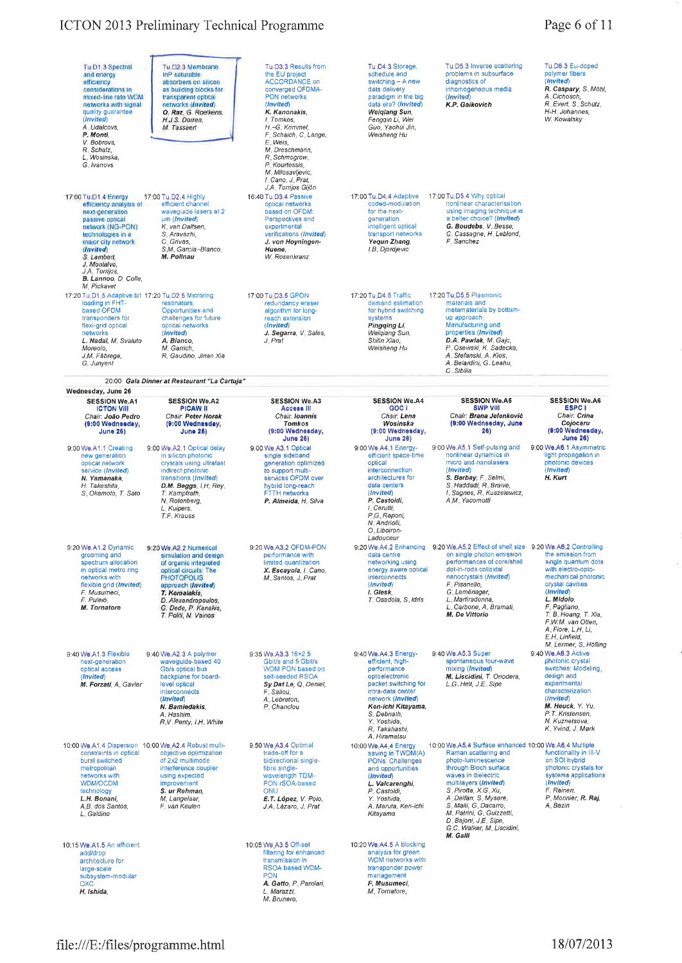| Tu.D1.3 Spectral<br>and energy<br>efficiency<br>considerations in<br>mixed-line rate WDM<br>networks with signal<br>quality guarantee<br>(Invited)<br>A. Udalcovs,<br>P. Monti.<br>V. Bobrovs,<br>R. Schatz,<br>L. Wosinska,<br>G. Ivanovs               | Tu.D2.3 Membrane<br>InP saturable<br>absorbers on silicon<br>as building blocks for<br>transparent optical<br>networks (Invited)<br>O. Raz, G. Roelkens,<br>H.J.S. Dorren,<br>M. Tassaert                                            | Tu.D3.3 Results from<br>the EU project<br><b>ACCORDANCE on</b><br>converged OFDMA-<br>PON networks<br>(Invited)<br>K. Kanonakis.<br>I. Tomkos.<br>H.-G. Krimmel,<br>F. Schaich, C. Lange,<br>E. Weis.<br>M. Dreschmann,<br>R. Schmogrow,<br>P. Kourtessis,<br>M. Milosavljevic,<br>I. Cano, J. Prat, | Tu D4 3 Storage,<br>schedule and<br>switching - A new<br>data delivery<br>paradigm in the big<br>data era? (Invited)<br>Weigiang Sun,<br>Fenggin Li, Wei<br>Guo, Yaohui Jin.<br>Weisheng Hu                                      | Tu.D5.3 Inverse scattering<br>problems in subsurface<br>diagnostics of<br>inhomogeneous media<br>(Invited)<br>K.P. Gaikovich                                                                                                                                                                                                                         | Tu.D8.3 Eu-doped<br>polymer fibers<br>(Invited)<br>R. Caspary, S. Möhl,<br>A. Cichosch.<br>R. Evert, S. Schütz,<br>H-H Johannes,<br>W. Kowalsky                                                                                                                       |
|----------------------------------------------------------------------------------------------------------------------------------------------------------------------------------------------------------------------------------------------------------|--------------------------------------------------------------------------------------------------------------------------------------------------------------------------------------------------------------------------------------|------------------------------------------------------------------------------------------------------------------------------------------------------------------------------------------------------------------------------------------------------------------------------------------------------|----------------------------------------------------------------------------------------------------------------------------------------------------------------------------------------------------------------------------------|------------------------------------------------------------------------------------------------------------------------------------------------------------------------------------------------------------------------------------------------------------------------------------------------------------------------------------------------------|-----------------------------------------------------------------------------------------------------------------------------------------------------------------------------------------------------------------------------------------------------------------------|
| 17:00 Tu, D1.4 Energy<br>officiency analysis of<br>noxt-generation<br>passive optical<br>network (NG-PON)<br>technologies in a<br>major city network<br>(Invited)<br>S. Lambert.<br>J. Montaivo,<br>J A Torrijos,<br>B. Lannoo, D. Colle.<br>M. Pickavet | 17:00 Tu.D2.4 Highly<br>efficient channel<br>wavequide lasers at 2<br>um (Invited)<br>K, van Dalfsen,<br>S. Aravazhi.<br>C. Grivas,<br>S.M. García-Blanco.<br>M. Polinau                                                             | J.A. Torrijos Gijón<br>16:40 Tu.D3.4 Passive<br>optical networks<br>based on OFDM:<br>Perspectives and<br>experimental<br>verifications (Invited)<br>J. von Hoyningen-<br>Huene.<br>W. Rosenkranz                                                                                                    | 17:00 Tu.D4.4 Adaptive<br>coded-modulation<br>for the next-<br>generation<br>intelligent optical<br>transport networks<br>Yequn Zhang,<br>I.B. Djordjevic                                                                        | 17:00 Tu, D5.4 Why optical<br>nonlinear characterisation<br>using imaging technique is<br>a better choice? (Invited)<br>G. Boudebs, V. Besse,<br>C. Cassagne, H. Leblond,<br>F. Sanchez                                                                                                                                                              |                                                                                                                                                                                                                                                                       |
| 17:20 Tu, D1 5 Adaptive bit 17:20 Tu D2.5 Microring<br>loading in FHT-<br>based OFDM<br>transponders for<br>flexi-grid optical<br>networks<br>L. Nadal, M. Svaluto<br>Moreolo,<br>J.M. Fàbrega,<br>G. Junyent                                            | resonators.<br>Opportunities and<br>challenges for future<br>optical networks<br>(Invited)<br>A. Bianco.<br>M. Garrich,<br>R. Gaudino, Jinan Xia                                                                                     | 17:00 Tu D3.5 GPON<br>redundancy eraser<br>algorithm for long-<br>reach extension<br>(Invited)<br>J. Segarra, V. Sales,<br>J. Prat                                                                                                                                                                   | 17:20 Tu D4.5 Traffic<br>demand estimation<br>for hybrid switching<br>systems<br>Pingqing Li,<br>Weigiang Sun,<br>Shilin Xiao,<br>Weisheng Hu                                                                                    | 17:20 Tu D5.5 Plasmonic<br>materials and<br>metamaterials by bottom-<br>up approach.<br>Manufacturing and<br>properties (Invited)<br>D.A. Pawlak, M. Gajc,<br>P. Osewski, K. Sadecka,<br>A. Stefanski, A. Klos,<br>A. Belardini, G. Leahu,<br>C. Sibilia                                                                                             |                                                                                                                                                                                                                                                                       |
|                                                                                                                                                                                                                                                          | 20:00 Gala Dinner at Restaurant "La Cartuja"                                                                                                                                                                                         |                                                                                                                                                                                                                                                                                                      |                                                                                                                                                                                                                                  |                                                                                                                                                                                                                                                                                                                                                      |                                                                                                                                                                                                                                                                       |
| Wednesday, June 26<br><b>SESSION We.A1</b><br><b>ICTON VIII</b><br>Chair: João Pedro<br>(9:00 Wednesday,<br><b>June 26)</b>                                                                                                                              | <b>SESSION We.A2</b><br><b>PICAW II</b><br>Chair: Peter Horak<br>(9:00 Wednesday,<br><b>June 26)</b>                                                                                                                                 | <b>SESSION We A3</b><br>Access III<br>Chair: Ioannis<br>Tomkos<br>(9:00 Wednesday,<br><b>June 26)</b>                                                                                                                                                                                                | <b>SESSION We.A4</b><br>GOC I<br>Chair: Lena<br>Wosinska<br>(9:00 Wednesday,<br><b>June 26)</b>                                                                                                                                  | <b>SESSION We.A5</b><br><b>SWP VIII</b><br>Chair: Brana Jelenković<br>(9:00 Wednesday, June<br>26)                                                                                                                                                                                                                                                   | <b>SESSION We.A6</b><br><b>ESPC1</b><br>Chair: Crina<br>Coiocaru<br>(9:00 Wednesday,<br><b>June 26)</b>                                                                                                                                                               |
| 9:00 We.A1.1 Creating<br>new generation<br>optical network<br>service (Invited)<br>N. Yamanaka,<br>H. Takeshita,<br>S. Okamoto, T. Sato                                                                                                                  | 9:00 We.A2.1 Optical delay<br>in silicon photonic<br>crystals using ultrafast<br>indirect photonic<br>transitions (Invited)<br>D.M. Beggs, LH. Rey,<br>T. Kampfrath,<br>N. Rotenberg,<br>L. Kuipers,<br>T.F. Krauss                  | 9:00 We A3.1 Optical<br>single sideband<br>generation optimized<br>to support multi-<br>services OFDM over<br>hybrid long-reach<br><b>FTTH networks</b><br>P. Almeida, H. Silva                                                                                                                      | 9:00 We A4.1 Energy-<br>efficient space-time<br>oplical<br>interconnection<br>architectures for<br>dala centers<br>(Invited)<br>P. Castoldi.<br>I. Cerutti,<br>P.G. Raponi.<br>N. Andriolli,<br>O. Liboiron-<br>Ladouceur        | 9:00 We.A5.1 Self-pulsing and<br>nonlinear dynamics in<br>micro and nanolasers<br>(Invited)<br>S. Barbay, F. Selmi,<br>S. Haddadi, R. Braive,<br>I. Sagnes, R. Kuszelewicz,<br>A.M. Yacomotti                                                                                                                                                        | 9:00 We.A6.1 Asymmetric<br>light propagation in<br>photonic devices<br>(Invited)<br>H. Kurt                                                                                                                                                                           |
| 9:20 We.A1.2 Dynamic<br>grooming and<br>spectrum allocation<br>in optical metro ring<br>networks with<br>flexible grid (Invited)<br>F. Musumeci.<br>F. Puleio,<br>M. Tornatore                                                                           | 9:20 We.A2.2 Numerical<br>simulation and design<br>of organic integrated<br>optical circuits: The<br><b>PHOTOPOLIS</b><br>approach (Invited)<br>T. Kamalakis,<br>D. Alexandropoulos,<br>G. Dede, P. Kanakis,<br>T. Politi, N. Vainos | 9:20 We.A3.2 OFDM-PON<br>performance with<br>limited quantization<br>X. Escavola, I. Cano.<br>M. Santos, J. Prat                                                                                                                                                                                     | 9:20 We.A4.2 Enhancing<br>data centre<br>networking using<br>energy aware optical<br>interconnects<br>(Invited)<br>I. Glesk<br>T. Osadola, S. Idris                                                                              | 9:20 We.A5.2 Effect of shell size<br>on single photon emission<br>performances of core/shell<br>dot-in-rods colloidal<br>nanocrystals (Invited)<br>F. Pisanello.<br>G. Leménager,<br>L. Martiradonna,<br>L. Carbone, A. Bramati,<br>M. De Vittorio                                                                                                   | 9:20 We A6.2 Controlling<br>the emission from<br>single quantum dots<br>with electro-opto-<br>mechanical photonic<br>crystal cavities<br>(Invited)<br>L. Midolo,<br>F. Pagliano,<br>T. B. Hoang, T. Xia.<br>F.W.M. van Otten.<br>A. Fiore, L.H. Li,<br>E.H. Linfield, |
| 9:40 We, A1.3 Flexible<br>next-generation<br>optical access<br>(Invited)<br>M. Forzati, A. Gavler                                                                                                                                                        | 9:40 We.A2.3 A polymer<br>waveguide-based 40<br>Gb/s optical bus<br>backplane for board-<br>level optical<br>interconnects<br>(Invited)<br>N. Bamiedakis.<br>A. Hashim,<br>R.V. Penty, I.H. White                                    | 9:35 We.A3.3 16×2.5<br>Gbit/s and 5 Gbit/s<br>WDM PON based on<br>self-seeded RSOA<br>Sy Dat Le, Q. Deniel,<br>F. Saliou,<br>A. Lebreton,<br>P. Chanclou                                                                                                                                             | 9:40 We.A4.3 Energy-<br>efficient, high-<br>performance<br>optoelectronic<br>packet switching for<br>intra-data center<br>network (Invited)<br>Ken-ichi Kitayama,<br>S. Debnath,<br>Y. Yoshida,<br>R. Takahashi,<br>A. Hiramatsu | 9:40 We.A5.3 Super<br>spontaneous four-wave<br>mixing (Invited)<br>M. Liscidini, T. Onodera,<br>L.G. Helt, J.E. Sipe                                                                                                                                                                                                                                 | M. Lermer, S. Höfling<br>9:40 We.A8.3 Active<br>photonic crystal<br>switches: Modeling<br>design and<br>experimental<br>characterization<br>(Invited)<br>M. Heuck, Y. Yu,<br>P.T. Kristensen,<br>N. Kuznetsova,<br>K. Yvind, J. Mørk                                  |
| constraints in optical<br>burst switched<br>metropolitan<br>networks with<br>WDM/OCDM<br>technology<br>L.H. Bonani<br>A.B. dos Santos,<br>L. Galdino                                                                                                     | 10:00 We.A1.4 Dispersion 10:00 We.A2.4 Robust multi-<br>objective optimization<br>of 2x2 multimode<br>interference coupler<br>using expected<br>improvement<br>S. ur Rehman,<br>M. Langelaar,<br>F van Keulen                        | 9:50 We A3.4 Optimal<br>trade-off for a<br>bidirectional single-<br>fibre single-<br>wavelength TDM-<br>PON rSOA-based<br><b>ONU</b><br>E.T. López, V. Polo,<br>J.A. Lázaro, J. Prat                                                                                                                 | 10:00 We.A4.4 Energy<br>saving in TWDM(A)<br>PONs: Challenges<br>and opportunities<br>(Invited)<br>L. Valcarenghi.<br>P. Castoldi,<br>Y. Yoshida,<br>A. Maruta, Ken-ichi<br>Kitayama                                             | 10:00 We.A5.4 Surface enhanced 10:00 We.A6.4 Multiple<br>Raman scattering and<br>photo-luminescence<br>through Bloch surface<br>waves in dielectric<br>multilayers (Invited)<br>S. Pirotta, X.G. Xu,<br>A Delfan, S Mysore,<br>S. Maiti, G. Dacarro,<br>M. Patrini, G. Guizzetti,<br>D. Bajoni, J.E. Sipe,<br>G.C. Walker, M. Liscidini,<br>M. Galli | functionality in III-V<br>on SOI hybrid<br>photonic crystals for<br>systems applications<br>(Invited)<br>F. Raineri,<br>P. Monnier, R. Raj,<br>A. Bazin                                                                                                               |
| 10:15 We, A1.5 An efficient<br>add/drop<br>architecture for<br>large-scale<br>subsystem-modular<br><b>OXC</b><br>H. Ishida,                                                                                                                              |                                                                                                                                                                                                                                      | 10:05 We A3.5 Off-set<br>filtering for enhanced<br>transmission in<br>RSOA based WDM-<br><b>PON</b><br>A. Gatto, P. Parolari,<br>L. Marazzi,<br>M. Brunero,                                                                                                                                          | 10:20 We, A4.5 A blocking<br>analysis for green<br>WDM networks with<br>transponder power<br>management<br>F. Musumeci.<br>M. Tornatore,                                                                                         |                                                                                                                                                                                                                                                                                                                                                      |                                                                                                                                                                                                                                                                       |

 $\bar{\Sigma}$